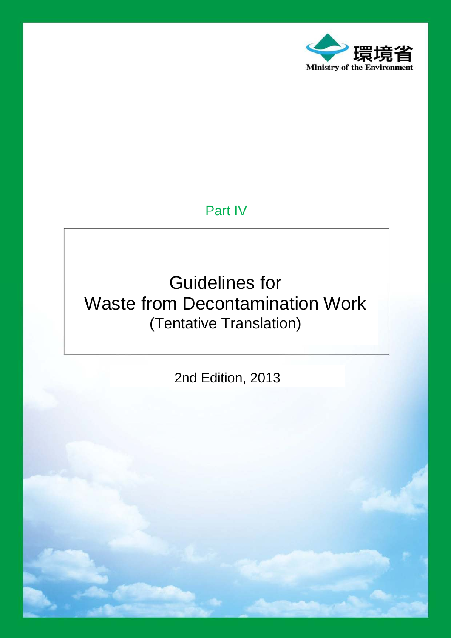

# Part IV

# Guidelines for Waste from Decontamination Work (Tentative Translation)

2nd Edition, 2013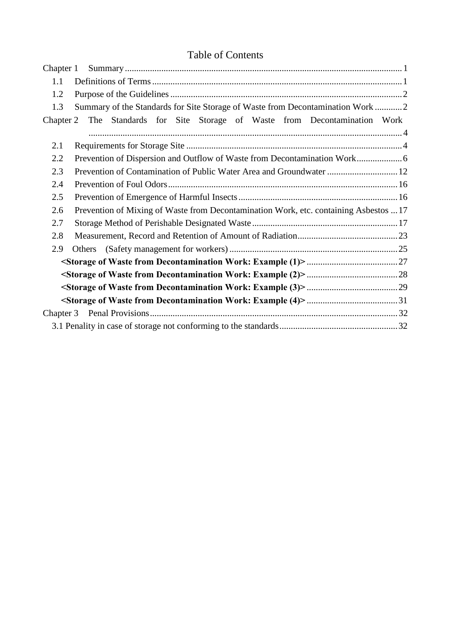# Table of Contents

| Chapter 1 |                                                                                       |  |  |  |  |  |  |
|-----------|---------------------------------------------------------------------------------------|--|--|--|--|--|--|
| 1.1       |                                                                                       |  |  |  |  |  |  |
| 1.2       |                                                                                       |  |  |  |  |  |  |
| 1.3       | Summary of the Standards for Site Storage of Waste from Decontamination Work  2       |  |  |  |  |  |  |
| Chapter 2 | The Standards for Site Storage of Waste from Decontamination Work                     |  |  |  |  |  |  |
|           |                                                                                       |  |  |  |  |  |  |
| 2.1       |                                                                                       |  |  |  |  |  |  |
| 2.2       |                                                                                       |  |  |  |  |  |  |
| 2.3       | Prevention of Contamination of Public Water Area and Groundwater  12                  |  |  |  |  |  |  |
| 2.4       |                                                                                       |  |  |  |  |  |  |
| 2.5       |                                                                                       |  |  |  |  |  |  |
| 2.6       | Prevention of Mixing of Waste from Decontamination Work, etc. containing Asbestos  17 |  |  |  |  |  |  |
| 2.7       |                                                                                       |  |  |  |  |  |  |
| 2.8       |                                                                                       |  |  |  |  |  |  |
| 2.9       |                                                                                       |  |  |  |  |  |  |
|           |                                                                                       |  |  |  |  |  |  |
|           |                                                                                       |  |  |  |  |  |  |
|           |                                                                                       |  |  |  |  |  |  |
|           |                                                                                       |  |  |  |  |  |  |
|           |                                                                                       |  |  |  |  |  |  |
|           |                                                                                       |  |  |  |  |  |  |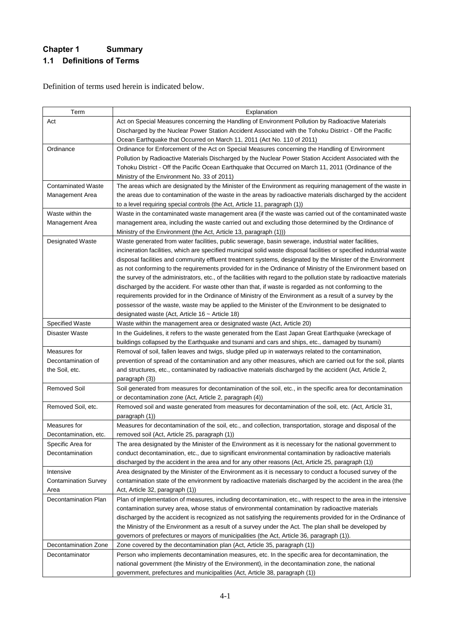# **Chapter 1 Summary 1.1 Definitions of Terms**

Definition of terms used herein is indicated below.

| Term                        | Explanation                                                                                                                                                                                                 |  |  |  |  |  |  |
|-----------------------------|-------------------------------------------------------------------------------------------------------------------------------------------------------------------------------------------------------------|--|--|--|--|--|--|
| Act                         |                                                                                                                                                                                                             |  |  |  |  |  |  |
|                             | Act on Special Measures concerning the Handling of Environment Pollution by Radioactive Materials<br>Discharged by the Nuclear Power Station Accident Associated with the Tohoku District - Off the Pacific |  |  |  |  |  |  |
|                             | Ocean Earthquake that Occurred on March 11, 2011 (Act No. 110 of 2011)                                                                                                                                      |  |  |  |  |  |  |
| Ordinance                   | Ordinance for Enforcement of the Act on Special Measures concerning the Handling of Environment                                                                                                             |  |  |  |  |  |  |
|                             | Pollution by Radioactive Materials Discharged by the Nuclear Power Station Accident Associated with the                                                                                                     |  |  |  |  |  |  |
|                             | Tohoku District - Off the Pacific Ocean Earthquake that Occurred on March 11, 2011 (Ordinance of the                                                                                                        |  |  |  |  |  |  |
|                             | Ministry of the Environment No. 33 of 2011)                                                                                                                                                                 |  |  |  |  |  |  |
| <b>Contaminated Waste</b>   | The areas which are designated by the Minister of the Environment as requiring management of the waste in                                                                                                   |  |  |  |  |  |  |
| Management Area             | the areas due to contamination of the waste in the areas by radioactive materials discharged by the accident                                                                                                |  |  |  |  |  |  |
|                             | to a level requiring special controls (the Act, Article 11, paragraph (1))                                                                                                                                  |  |  |  |  |  |  |
| Waste within the            | Waste in the contaminated waste management area (if the waste was carried out of the contaminated waste                                                                                                     |  |  |  |  |  |  |
| Management Area             | management area, including the waste carried out and excluding those determined by the Ordinance of                                                                                                         |  |  |  |  |  |  |
|                             | Ministry of the Environment (the Act, Article 13, paragraph (1)))                                                                                                                                           |  |  |  |  |  |  |
| <b>Designated Waste</b>     | Waste generated from water facilities, public sewerage, basin sewerage, industrial water facilities,                                                                                                        |  |  |  |  |  |  |
|                             | incineration facilities, which are specified municipal solid waste disposal facilities or specified industrial waste                                                                                        |  |  |  |  |  |  |
|                             | disposal facilities and community effluent treatment systems, designated by the Minister of the Environment                                                                                                 |  |  |  |  |  |  |
|                             | as not conforming to the requirements provided for in the Ordinance of Ministry of the Environment based on                                                                                                 |  |  |  |  |  |  |
|                             | the survey of the administrators, etc., of the facilities with regard to the pollution state by radioactive materials                                                                                       |  |  |  |  |  |  |
|                             | discharged by the accident. For waste other than that, if waste is regarded as not conforming to the                                                                                                        |  |  |  |  |  |  |
|                             | requirements provided for in the Ordinance of Ministry of the Environment as a result of a survey by the                                                                                                    |  |  |  |  |  |  |
|                             | possessor of the waste, waste may be applied to the Minister of the Environment to be designated to                                                                                                         |  |  |  |  |  |  |
|                             | designated waste (Act, Article 16 ~ Article 18)                                                                                                                                                             |  |  |  |  |  |  |
| <b>Specified Waste</b>      | Waste within the management area or designated waste (Act, Article 20)                                                                                                                                      |  |  |  |  |  |  |
| Disaster Waste              | In the Guidelines, it refers to the waste generated from the East Japan Great Earthquake (wreckage of                                                                                                       |  |  |  |  |  |  |
|                             | buildings collapsed by the Earthquake and tsunami and cars and ships, etc., damaged by tsunami)                                                                                                             |  |  |  |  |  |  |
| Measures for                | Removal of soil, fallen leaves and twigs, sludge piled up in waterways related to the contamination,                                                                                                        |  |  |  |  |  |  |
| Decontamination of          | prevention of spread of the contamination and any other measures, which are carried out for the soil, plants                                                                                                |  |  |  |  |  |  |
| the Soil, etc.              | and structures, etc., contaminated by radioactive materials discharged by the accident (Act, Article 2,                                                                                                     |  |  |  |  |  |  |
|                             | paragraph (3))                                                                                                                                                                                              |  |  |  |  |  |  |
| <b>Removed Soil</b>         | Soil generated from measures for decontamination of the soil, etc., in the specific area for decontamination                                                                                                |  |  |  |  |  |  |
|                             | or decontamination zone (Act, Article 2, paragraph (4))                                                                                                                                                     |  |  |  |  |  |  |
| Removed Soil, etc.          | Removed soil and waste generated from measures for decontamination of the soil, etc. (Act, Article 31,                                                                                                      |  |  |  |  |  |  |
|                             | paragraph (1))                                                                                                                                                                                              |  |  |  |  |  |  |
| Measures for                | Measures for decontamination of the soil, etc., and collection, transportation, storage and disposal of the                                                                                                 |  |  |  |  |  |  |
| Decontamination, etc.       | removed soil (Act, Article 25, paragraph (1))                                                                                                                                                               |  |  |  |  |  |  |
| Specific Area for           | The area designated by the Minister of the Environment as it is necessary for the national government to                                                                                                    |  |  |  |  |  |  |
| Decontamination             | conduct decontamination, etc., due to significant environmental contamination by radioactive materials                                                                                                      |  |  |  |  |  |  |
|                             | discharged by the accident in the area and for any other reasons (Act, Article 25, paragraph (1))                                                                                                           |  |  |  |  |  |  |
| Intensive                   | Area designated by the Minister of the Environment as it is necessary to conduct a focused survey of the                                                                                                    |  |  |  |  |  |  |
| <b>Contamination Survey</b> | contamination state of the environment by radioactive materials discharged by the accident in the area (the                                                                                                 |  |  |  |  |  |  |
| Area                        | Act, Article 32, paragraph (1))                                                                                                                                                                             |  |  |  |  |  |  |
| Decontamination Plan        | Plan of implementation of measures, including decontamination, etc., with respect to the area in the intensive                                                                                              |  |  |  |  |  |  |
|                             | contamination survey area, whose status of environmental contamination by radioactive materials                                                                                                             |  |  |  |  |  |  |
|                             | discharged by the accident is recognized as not satisfying the requirements provided for in the Ordinance of                                                                                                |  |  |  |  |  |  |
|                             | the Ministry of the Environment as a result of a survey under the Act. The plan shall be developed by                                                                                                       |  |  |  |  |  |  |
|                             | governors of prefectures or mayors of municipalities (the Act, Article 36, paragraph (1)).                                                                                                                  |  |  |  |  |  |  |
| Decontamination Zone        | Zone covered by the decontamination plan (Act, Article 35, paragraph (1))                                                                                                                                   |  |  |  |  |  |  |
| Decontaminator              | Person who implements decontamination measures, etc. In the specific area for decontamination, the                                                                                                          |  |  |  |  |  |  |
|                             | national government (the Ministry of the Environment), in the decontamination zone, the national                                                                                                            |  |  |  |  |  |  |
|                             | government, prefectures and municipalities (Act, Article 38, paragraph (1))                                                                                                                                 |  |  |  |  |  |  |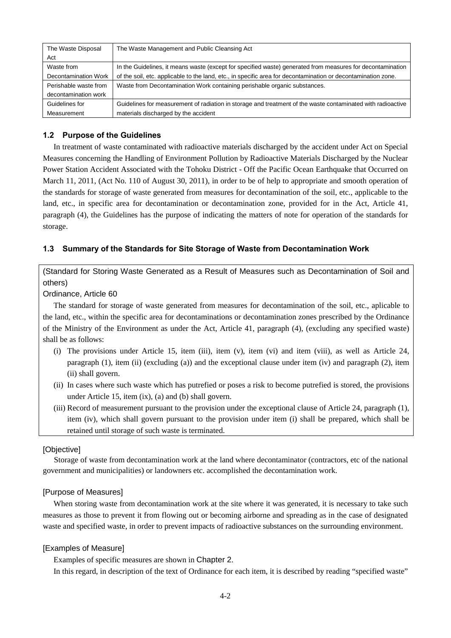| The Waste Disposal    | The Waste Management and Public Cleansing Act                                                                 |  |  |  |  |
|-----------------------|---------------------------------------------------------------------------------------------------------------|--|--|--|--|
| Act                   |                                                                                                               |  |  |  |  |
| Waste from            | In the Guidelines, it means waste (except for specified waste) generated from measures for decontamination    |  |  |  |  |
| Decontamination Work  | of the soil, etc. applicable to the land, etc., in specific area for decontamination or decontamination zone. |  |  |  |  |
| Perishable waste from | Waste from Decontamination Work containing perishable organic substances.                                     |  |  |  |  |
| decontamination work  |                                                                                                               |  |  |  |  |
| Guidelines for        | Guidelines for measurement of radiation in storage and treatment of the waste contaminated with radioactive   |  |  |  |  |
| Measurement           | materials discharged by the accident                                                                          |  |  |  |  |

#### **1.2 Purpose of the Guidelines**

In treatment of waste contaminated with radioactive materials discharged by the accident under Act on Special Measures concerning the Handling of Environment Pollution by Radioactive Materials Discharged by the Nuclear Power Station Accident Associated with the Tohoku District - Off the Pacific Ocean Earthquake that Occurred on March 11, 2011, (Act No. 110 of August 30, 2011), in order to be of help to appropriate and smooth operation of the standards for storage of waste generated from measures for decontamination of the soil, etc., applicable to the land, etc., in specific area for decontamination or decontamination zone, provided for in the Act, Article 41, paragraph (4), the Guidelines has the purpose of indicating the matters of note for operation of the standards for storage.

#### **1.3 Summary of the Standards for Site Storage of Waste from Decontamination Work**

(Standard for Storing Waste Generated as a Result of Measures such as Decontamination of Soil and others)

## Ordinance, Article 60

The standard for storage of waste generated from measures for decontamination of the soil, etc., aplicable to the land, etc., within the specific area for decontaminations or decontamination zones prescribed by the Ordinance of the Ministry of the Environment as under the Act, Article 41, paragraph (4), (excluding any specified waste) shall be as follows:

- (i) The provisions under Article 15, item (iii), item (v), item (vi) and item (viii), as well as Article 24, paragraph (1), item (ii) (excluding (a)) and the exceptional clause under item (iv) and paragraph (2), item (ii) shall govern.
- (ii) In cases where such waste which has putrefied or poses a risk to become putrefied is stored, the provisions under Article 15, item (ix), (a) and (b) shall govern.
- (iii) Record of measurement pursuant to the provision under the exceptional clause of Article 24, paragraph (1), item (iv), which shall govern pursuant to the provision under item (i) shall be prepared, which shall be retained until storage of such waste is terminated.

#### [Objective]

Storage of waste from decontamination work at the land where decontaminator (contractors, etc of the national government and municipalities) or landowners etc. accomplished the decontamination work.

## [Purpose of Measures]

When storing waste from decontamination work at the site where it was generated, it is necessary to take such measures as those to prevent it from flowing out or becoming airborne and spreading as in the case of designated waste and specified waste, in order to prevent impacts of radioactive substances on the surrounding environment.

#### [Examples of Measure]

Examples of specific measures are shown in Chapter 2.

In this regard, in description of the text of Ordinance for each item, it is described by reading "specified waste"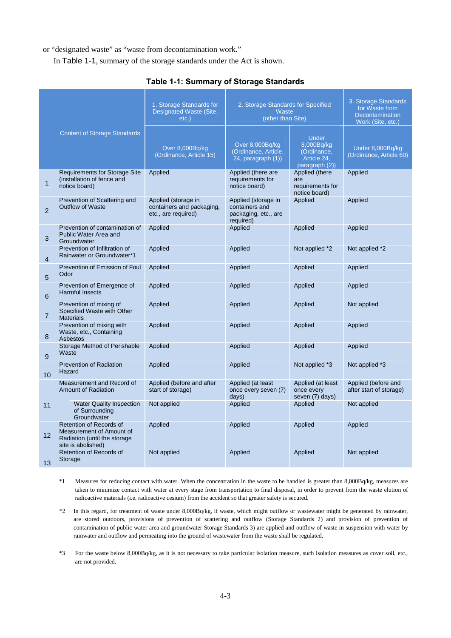or "designated waste" as "waste from decontamination work."

In Table 1-1, summary of the storage standards under the Act is shown.

|                |                                                                                                           | 1. Storage Standards for<br>Designated Waste (Site,<br>$etc.$ )         | 2. Storage Standards for Specified<br>Waste<br>(other than Site)           |                                                                            | 3. Storage Standards<br>for Waste from<br>Decontamination<br>Work (Site, etc.) |  |  |
|----------------|-----------------------------------------------------------------------------------------------------------|-------------------------------------------------------------------------|----------------------------------------------------------------------------|----------------------------------------------------------------------------|--------------------------------------------------------------------------------|--|--|
|                | <b>Content of Storage Standards</b>                                                                       | Over 8,000Bq/kg<br>(Ordinance, Article 15)                              | Over 8,000Bq/kg<br>(Ordinance, Article,<br>$24$ , paragraph $(1)$ )        | <b>Under</b><br>8,000Bq/kg<br>(Ordinance,<br>Article 24,<br>paragraph (2)) | Under 8,000Bq/kg<br>(Ordinance, Article 60)                                    |  |  |
| 1              | <b>Requirements for Storage Site</b><br>(installation of fence and<br>notice board)                       | Applied                                                                 | Applied (there are<br>requirements for<br>notice board)                    | Applied (there<br>are<br>requirements for<br>notice board)                 | Applied                                                                        |  |  |
| $\overline{2}$ | Prevention of Scattering and<br><b>Outflow of Waste</b>                                                   | Applied (storage in<br>containers and packaging,<br>etc., are required) | Applied (storage in<br>containers and<br>packaging, etc., are<br>required) | Applied                                                                    | Applied                                                                        |  |  |
| 3              | Prevention of contamination of<br>Public Water Area and<br>Groundwater                                    | Applied                                                                 | Applied                                                                    | Applied                                                                    | Applied                                                                        |  |  |
| $\overline{4}$ | Prevention of Infiltration of<br>Rainwater or Groundwater*1                                               | Applied                                                                 | Applied                                                                    | Not applied *2                                                             | Not applied *2                                                                 |  |  |
| $\overline{5}$ | Prevention of Emission of Foul<br>Odor                                                                    | Applied                                                                 | Applied                                                                    | Applied                                                                    | Applied                                                                        |  |  |
| 6              | Prevention of Emergence of<br><b>Harmful Insects</b>                                                      | Applied                                                                 | Applied                                                                    | Applied                                                                    | Applied                                                                        |  |  |
| $\overline{7}$ | Prevention of mixing of<br>Specified Waste with Other<br><b>Materials</b>                                 | Applied                                                                 | Applied                                                                    | Applied                                                                    | Not applied                                                                    |  |  |
| 8              | Prevention of mixing with<br>Waste, etc., Containing<br>Asbestos                                          | Applied                                                                 | Applied                                                                    | Applied                                                                    | Applied                                                                        |  |  |
| 9              | Storage Method of Perishable<br>Waste                                                                     | Applied                                                                 | Applied                                                                    | Applied                                                                    | Applied                                                                        |  |  |
| 10             | <b>Prevention of Radiation</b><br>Hazard                                                                  | Applied                                                                 | Applied                                                                    | Not applied *3                                                             | Not applied *3                                                                 |  |  |
|                | Measurement and Record of<br><b>Amount of Radiation</b>                                                   | Applied (before and after<br>start of storage)                          | Applied (at least<br>once every seven (7)<br>days)                         | Applied (at least<br>once every<br>seven (7) days)                         | Applied (before and<br>after start of storage)                                 |  |  |
| 11             | <b>Water Quality Inspection</b><br>of Surrounding<br>Groundwater                                          | Not applied                                                             | Applied                                                                    | Applied                                                                    | Not applied                                                                    |  |  |
| 12             | Retention of Records of<br>Measurement of Amount of<br>Radiation (until the storage<br>site is abolished) | Applied                                                                 | Applied                                                                    | Applied                                                                    | Applied                                                                        |  |  |
| 13             | Retention of Records of<br>Not applied<br>Storage                                                         |                                                                         | Applied                                                                    | <b>Applied</b>                                                             | Not applied                                                                    |  |  |

## **Table 1-1: Summary of Storage Standards**

- \*1 Measures for reducing contact with water. When the concentration in the waste to be handled is greater than 8,000Bq/kg, measures are taken to minimize contact with water at every stage from transportation to final disposal, in order to prevent from the waste elution of radioactive materials (i.e. radioactive cesium) from the accident so that greater safety is secured.
- \*2 In this regard, for treatment of waste under 8,000Bq/kg, if waste, which might outflow or wastewater might be generated by rainwater, are stored outdoors, provisions of prevention of scattering and outflow (Storage Standards 2) and provision of prevention of contamination of public water area and groundwater Storage Standards 3) are applied and outflow of waste in suspension with water by rainwater and outflow and permeating into the ground of wastewater from the waste shall be regulated.
- \*3 For the waste below 8,000Bq/kg, as it is not necessary to take particular isolation measure, such isolation measures as cover soil, etc., are not provided.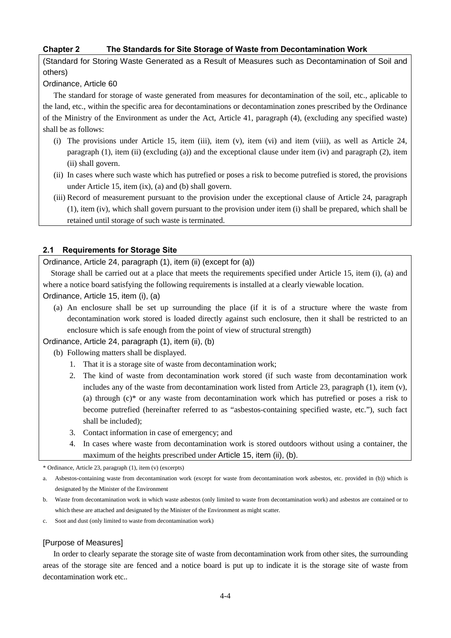## **Chapter 2 The Standards for Site Storage of Waste from Decontamination Work**

(Standard for Storing Waste Generated as a Result of Measures such as Decontamination of Soil and others)

## Ordinance, Article 60

The standard for storage of waste generated from measures for decontamination of the soil, etc., aplicable to the land, etc., within the specific area for decontaminations or decontamination zones prescribed by the Ordinance of the Ministry of the Environment as under the Act, Article 41, paragraph (4), (excluding any specified waste) shall be as follows:

- (i) The provisions under Article 15, item (iii), item (v), item (vi) and item (viii), as well as Article 24, paragraph (1), item (ii) (excluding (a)) and the exceptional clause under item (iv) and paragraph (2), item (ii) shall govern.
- (ii) In cases where such waste which has putrefied or poses a risk to become putrefied is stored, the provisions under Article 15, item (ix), (a) and (b) shall govern.
- (iii) Record of measurement pursuant to the provision under the exceptional clause of Article 24, paragraph (1), item (iv), which shall govern pursuant to the provision under item (i) shall be prepared, which shall be retained until storage of such waste is terminated.

## **2.1 Requirements for Storage Site**

Ordinance, Article 24, paragraph (1), item (ii) (except for (a))

Storage shall be carried out at a place that meets the requirements specified under Article 15, item (i), (a) and where a notice board satisfying the following requirements is installed at a clearly viewable location.

Ordinance, Article 15, item (i), (a)

(a) An enclosure shall be set up surrounding the place (if it is of a structure where the waste from decontamination work stored is loaded directly against such enclosure, then it shall be restricted to an enclosure which is safe enough from the point of view of structural strength)

Ordinance, Article 24, paragraph (1), item (ii), (b)

- (b) Following matters shall be displayed.
	- 1. That it is a storage site of waste from decontamination work;
	- 2. The kind of waste from decontamination work stored (if such waste from decontamination work includes any of the waste from decontamination work listed from Article 23, paragraph (1), item (v), (a) through (c)\* or any waste from decontamination work which has putrefied or poses a risk to become putrefied (hereinafter referred to as "asbestos-containing specified waste, etc."), such fact shall be included);
	- 3. Contact information in case of emergency; and
	- 4. In cases where waste from decontamination work is stored outdoors without using a container, the maximum of the heights prescribed under Article 15, item (ii), (b).

\* Ordinance, Article 23, paragraph (1), item (v) (excerpts)

c. Soot and dust (only limited to waste from decontamination work)

## [Purpose of Measures]

In order to clearly separate the storage site of waste from decontamination work from other sites, the surrounding areas of the storage site are fenced and a notice board is put up to indicate it is the storage site of waste from decontamination work etc..

a. Asbestos-containing waste from decontamination work (except for waste from decontamination work asbestos, etc. provided in (b)) which is designated by the Minister of the Environment

b. Waste from decontamination work in which waste asbestos (only limited to waste from decontamination work) and asbestos are contained or to which these are attached and designated by the Minister of the Environment as might scatter.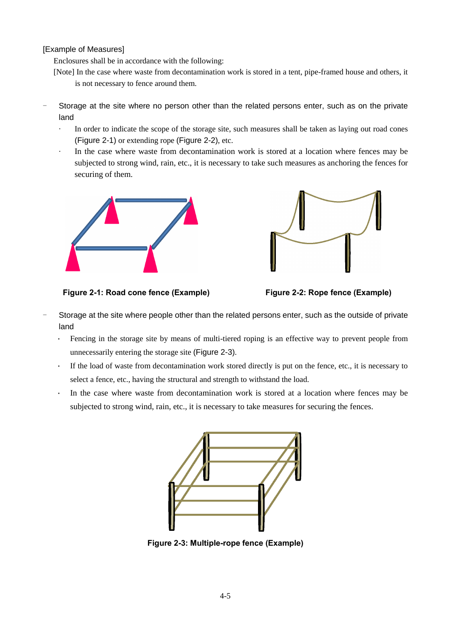## [Example of Measures]

Enclosures shall be in accordance with the following:

- [Note] In the case where waste from decontamination work is stored in a tent, pipe-framed house and others, it is not necessary to fence around them.
- Storage at the site where no person other than the related persons enter, such as on the private land
	- · In order to indicate the scope of the storage site, such measures shall be taken as laying out road cones (Figure 2-1) or extending rope (Figure 2-2), etc.
	- In the case where waste from decontamination work is stored at a location where fences may be subjected to strong wind, rain, etc., it is necessary to take such measures as anchoring the fences for securing of them.





**Figure 2-1: Road cone fence (Example) Figure 2-2: Rope fence (Example)**



- Storage at the site where people other than the related persons enter, such as the outside of private land
	- · Fencing in the storage site by means of multi-tiered roping is an effective way to prevent people from unnecessarily entering the storage site (Figure 2-3).
	- If the load of waste from decontamination work stored directly is put on the fence, etc., it is necessary to select a fence, etc., having the structural and strength to withstand the load.
	- · In the case where waste from decontamination work is stored at a location where fences may be subjected to strong wind, rain, etc., it is necessary to take measures for securing the fences.



**Figure 2-3: Multiple-rope fence (Example)**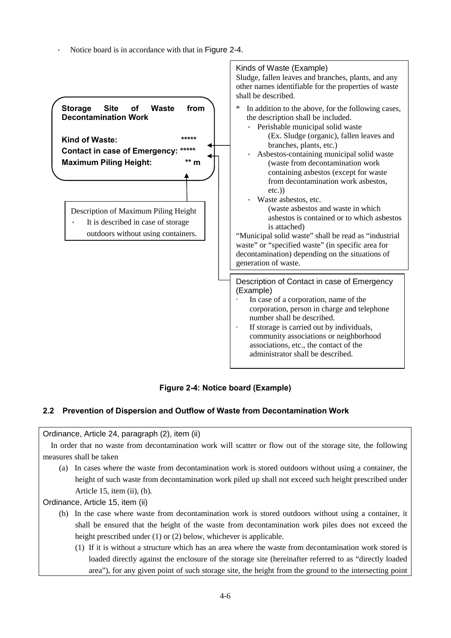Notice board is in accordance with that in Figure 2-4.



**Figure 2-4: Notice board (Example)** 

## **2.2 Prevention of Dispersion and Outflow of Waste from Decontamination Work**

## Ordinance, Article 24, paragraph (2), item (ii)

In order that no waste from decontamination work will scatter or flow out of the storage site, the following measures shall be taken

(a) In cases where the waste from decontamination work is stored outdoors without using a container, the height of such waste from decontamination work piled up shall not exceed such height prescribed under Article 15, item (ii), (b).

Ordinance, Article 15, item (ii)

- (b) In the case where waste from decontamination work is stored outdoors without using a container, it shall be ensured that the height of the waste from decontamination work piles does not exceed the height prescribed under (1) or (2) below, whichever is applicable.
	- (1) If it is without a structure which has an area where the waste from decontamination work stored is loaded directly against the enclosure of the storage site (hereinafter referred to as "directly loaded area"), for any given point of such storage site, the height from the ground to the intersecting point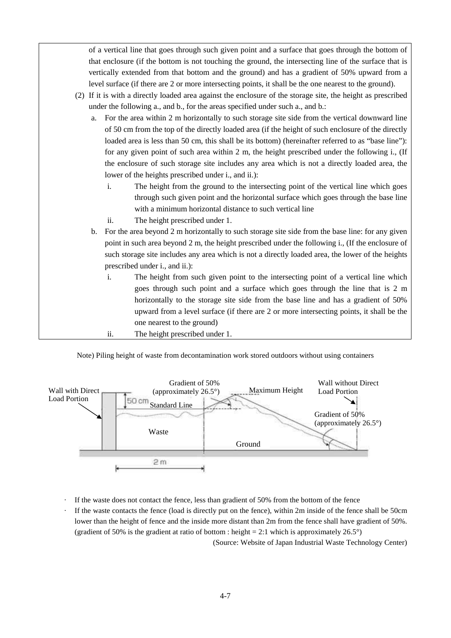of a vertical line that goes through such given point and a surface that goes through the bottom of that enclosure (if the bottom is not touching the ground, the intersecting line of the surface that is vertically extended from that bottom and the ground) and has a gradient of 50% upward from a level surface (if there are 2 or more intersecting points, it shall be the one nearest to the ground).

- (2) If it is with a directly loaded area against the enclosure of the storage site, the height as prescribed under the following a., and b., for the areas specified under such a., and b.:
	- a. For the area within 2 m horizontally to such storage site side from the vertical downward line of 50 cm from the top of the directly loaded area (if the height of such enclosure of the directly loaded area is less than 50 cm, this shall be its bottom) (hereinafter referred to as "base line"): for any given point of such area within 2 m, the height prescribed under the following i., (If the enclosure of such storage site includes any area which is not a directly loaded area, the lower of the heights prescribed under i., and ii.):
		- i. The height from the ground to the intersecting point of the vertical line which goes through such given point and the horizontal surface which goes through the base line with a minimum horizontal distance to such vertical line
		- ii. The height prescribed under 1.
	- b. For the area beyond 2 m horizontally to such storage site side from the base line: for any given point in such area beyond 2 m, the height prescribed under the following i., (If the enclosure of such storage site includes any area which is not a directly loaded area, the lower of the heights prescribed under i., and ii.):
		- i. The height from such given point to the intersecting point of a vertical line which goes through such point and a surface which goes through the line that is 2 m horizontally to the storage site side from the base line and has a gradient of 50% upward from a level surface (if there are 2 or more intersecting points, it shall be the one nearest to the ground)
		- ii. The height prescribed under 1.

Note) Piling height of waste from decontamination work stored outdoors without using containers



- If the waste does not contact the fence, less than gradient of 50% from the bottom of the fence
- If the waste contacts the fence (load is directly put on the fence), within 2m inside of the fence shall be 50cm lower than the height of fence and the inside more distant than 2m from the fence shall have gradient of 50%. (gradient of 50% is the gradient at ratio of bottom : height = 2:1 which is approximately  $26.5^{\circ}$ ) (Source: Website of Japan Industrial Waste Technology Center)

4-7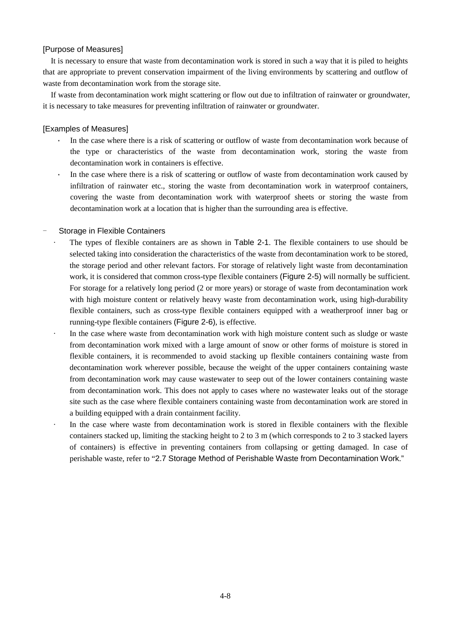## [Purpose of Measures]

It is necessary to ensure that waste from decontamination work is stored in such a way that it is piled to heights that are appropriate to prevent conservation impairment of the living environments by scattering and outflow of waste from decontamination work from the storage site.

If waste from decontamination work might scattering or flow out due to infiltration of rainwater or groundwater, it is necessary to take measures for preventing infiltration of rainwater or groundwater.

#### [Examples of Measures]

- In the case where there is a risk of scattering or outflow of waste from decontamination work because of the type or characteristics of the waste from decontamination work, storing the waste from decontamination work in containers is effective.
- In the case where there is a risk of scattering or outflow of waste from decontamination work caused by infiltration of rainwater etc., storing the waste from decontamination work in waterproof containers, covering the waste from decontamination work with waterproof sheets or storing the waste from decontamination work at a location that is higher than the surrounding area is effective.

#### Storage in Flexible Containers

- · The types of flexible containers are as shown in Table 2-1. The flexible containers to use should be selected taking into consideration the characteristics of the waste from decontamination work to be stored, the storage period and other relevant factors. For storage of relatively light waste from decontamination work, it is considered that common cross-type flexible containers (Figure 2-5) will normally be sufficient. For storage for a relatively long period (2 or more years) or storage of waste from decontamination work with high moisture content or relatively heavy waste from decontamination work, using high-durability flexible containers, such as cross-type flexible containers equipped with a weatherproof inner bag or running-type flexible containers (Figure 2-6), is effective.
- In the case where waste from decontamination work with high moisture content such as sludge or waste from decontamination work mixed with a large amount of snow or other forms of moisture is stored in flexible containers, it is recommended to avoid stacking up flexible containers containing waste from decontamination work wherever possible, because the weight of the upper containers containing waste from decontamination work may cause wastewater to seep out of the lower containers containing waste from decontamination work. This does not apply to cases where no wastewater leaks out of the storage site such as the case where flexible containers containing waste from decontamination work are stored in a building equipped with a drain containment facility.
- In the case where waste from decontamination work is stored in flexible containers with the flexible containers stacked up, limiting the stacking height to 2 to 3 m (which corresponds to 2 to 3 stacked layers of containers) is effective in preventing containers from collapsing or getting damaged. In case of perishable waste, refer to "2.7 Storage Method of Perishable Waste from Decontamination Work."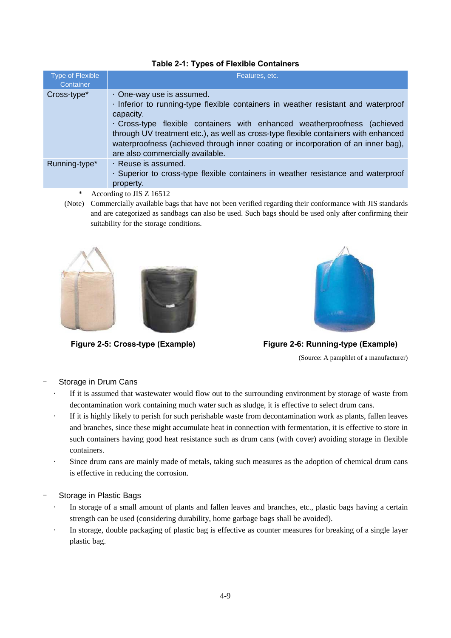| <b>Type of Flexible</b><br>Container | Features, etc.                                                                                                                                                                                                                                                                                                                                                                                                          |  |  |  |  |  |  |
|--------------------------------------|-------------------------------------------------------------------------------------------------------------------------------------------------------------------------------------------------------------------------------------------------------------------------------------------------------------------------------------------------------------------------------------------------------------------------|--|--|--|--|--|--|
| Cross-type*                          | One-way use is assumed.<br>· Inferior to running-type flexible containers in weather resistant and waterproof<br>capacity.<br>· Cross-type flexible containers with enhanced weatherproofness (achieved<br>through UV treatment etc.), as well as cross-type flexible containers with enhanced<br>waterproofness (achieved through inner coating or incorporation of an inner bag),<br>are also commercially available. |  |  |  |  |  |  |
| Running-type*                        | · Reuse is assumed.<br>. Superior to cross-type flexible containers in weather resistance and waterproof<br>property.                                                                                                                                                                                                                                                                                                   |  |  |  |  |  |  |

## **Table 2-1: Types of Flexible Containers**

- \* According to JIS Z 16512
- (Note) Commercially available bags that have not been verified regarding their conformance with JIS standards and are categorized as sandbags can also be used. Such bags should be used only after confirming their suitability for the storage conditions.





**Figure 2-5: Cross-type (Example) Figure 2-6: Running-type (Example)** 

(Source: A pamphlet of a manufacturer)

## Storage in Drum Cans

- If it is assumed that wastewater would flow out to the surrounding environment by storage of waste from decontamination work containing much water such as sludge, it is effective to select drum cans.
- If it is highly likely to perish for such perishable waste from decontamination work as plants, fallen leaves and branches, since these might accumulate heat in connection with fermentation, it is effective to store in such containers having good heat resistance such as drum cans (with cover) avoiding storage in flexible containers.
- Since drum cans are mainly made of metals, taking such measures as the adoption of chemical drum cans is effective in reducing the corrosion.

## Storage in Plastic Bags

- In storage of a small amount of plants and fallen leaves and branches, etc., plastic bags having a certain strength can be used (considering durability, home garbage bags shall be avoided).
- In storage, double packaging of plastic bag is effective as counter measures for breaking of a single layer plastic bag.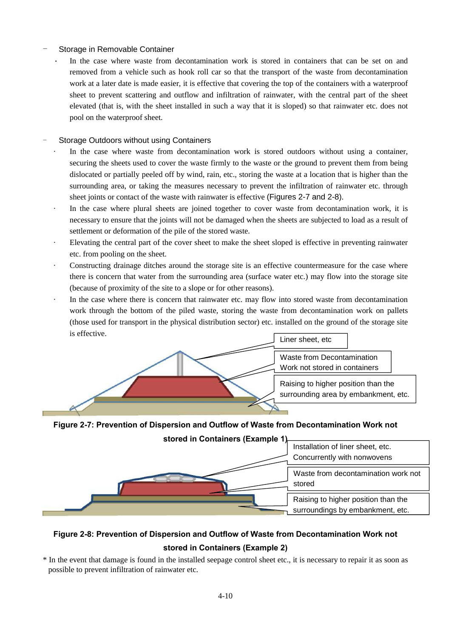## Storage in Removable Container

In the case where waste from decontamination work is stored in containers that can be set on and removed from a vehicle such as hook roll car so that the transport of the waste from decontamination work at a later date is made easier, it is effective that covering the top of the containers with a waterproof sheet to prevent scattering and outflow and infiltration of rainwater, with the central part of the sheet elevated (that is, with the sheet installed in such a way that it is sloped) so that rainwater etc. does not pool on the waterproof sheet.

## Storage Outdoors without using Containers

- In the case where waste from decontamination work is stored outdoors without using a container, securing the sheets used to cover the waste firmly to the waste or the ground to prevent them from being dislocated or partially peeled off by wind, rain, etc., storing the waste at a location that is higher than the surrounding area, or taking the measures necessary to prevent the infiltration of rainwater etc. through sheet joints or contact of the waste with rainwater is effective (Figures 2-7 and 2-8).
- In the case where plural sheets are joined together to cover waste from decontamination work, it is necessary to ensure that the joints will not be damaged when the sheets are subjected to load as a result of settlement or deformation of the pile of the stored waste.
- Elevating the central part of the cover sheet to make the sheet sloped is effective in preventing rainwater etc. from pooling on the sheet.
- Constructing drainage ditches around the storage site is an effective countermeasure for the case where there is concern that water from the surrounding area (surface water etc.) may flow into the storage site (because of proximity of the site to a slope or for other reasons).
- In the case where there is concern that rainwater etc. may flow into stored waste from decontamination work through the bottom of the piled waste, storing the waste from decontamination work on pallets (those used for transport in the physical distribution sector) etc. installed on the ground of the storage site is effective.



**Figure 2-7: Prevention of Dispersion and Outflow of Waste from Decontamination Work not** 

**stored in Containers (Example 1)**  Raising to higher position than the surroundings by embankment, etc. Waste from decontamination work not stored Installation of liner sheet, etc. Concurrently with nonwovens

# **Figure 2-8: Prevention of Dispersion and Outflow of Waste from Decontamination Work not stored in Containers (Example 2)**

\* In the event that damage is found in the installed seepage control sheet etc., it is necessary to repair it as soon as possible to prevent infiltration of rainwater etc.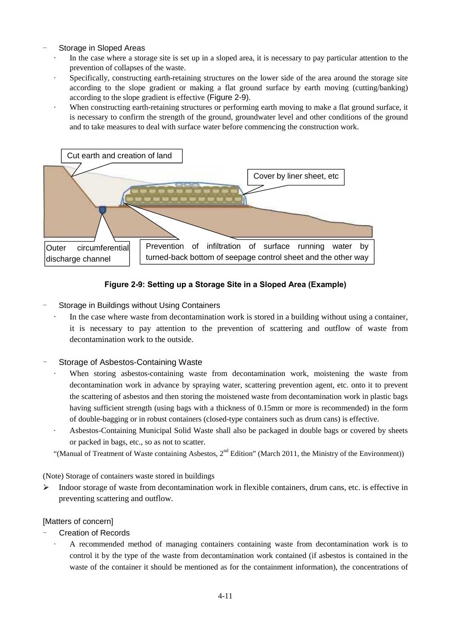## Storage in Sloped Areas

- In the case where a storage site is set up in a sloped area, it is necessary to pay particular attention to the prevention of collapses of the waste.
- Specifically, constructing earth-retaining structures on the lower side of the area around the storage site according to the slope gradient or making a flat ground surface by earth moving (cutting/banking) according to the slope gradient is effective (Figure 2-9).
- When constructing earth-retaining structures or performing earth moving to make a flat ground surface, it is necessary to confirm the strength of the ground, groundwater level and other conditions of the ground and to take measures to deal with surface water before commencing the construction work.



## **Figure 2-9: Setting up a Storage Site in a Sloped Area (Example)**

## Storage in Buildings without Using Containers

In the case where waste from decontamination work is stored in a building without using a container, it is necessary to pay attention to the prevention of scattering and outflow of waste from decontamination work to the outside.

## Storage of Asbestos-Containing Waste

- When storing asbestos-containing waste from decontamination work, moistening the waste from decontamination work in advance by spraying water, scattering prevention agent, etc. onto it to prevent the scattering of asbestos and then storing the moistened waste from decontamination work in plastic bags having sufficient strength (using bags with a thickness of 0.15mm or more is recommended) in the form of double-bagging or in robust containers (closed-type containers such as drum cans) is effective.
- Asbestos-Containing Municipal Solid Waste shall also be packaged in double bags or covered by sheets or packed in bags, etc., so as not to scatter.

"(Manual of Treatment of Waste containing Asbestos,  $2<sup>nd</sup>$  Edition" (March 2011, the Ministry of the Environment))

(Note) Storage of containers waste stored in buildings

 $\blacktriangleright$ Indoor storage of waste from decontamination work in flexible containers, drum cans, etc. is effective in preventing scattering and outflow.

## [Matters of concern]

- **Creation of Records** 
	- · A recommended method of managing containers containing waste from decontamination work is to control it by the type of the waste from decontamination work contained (if asbestos is contained in the waste of the container it should be mentioned as for the containment information), the concentrations of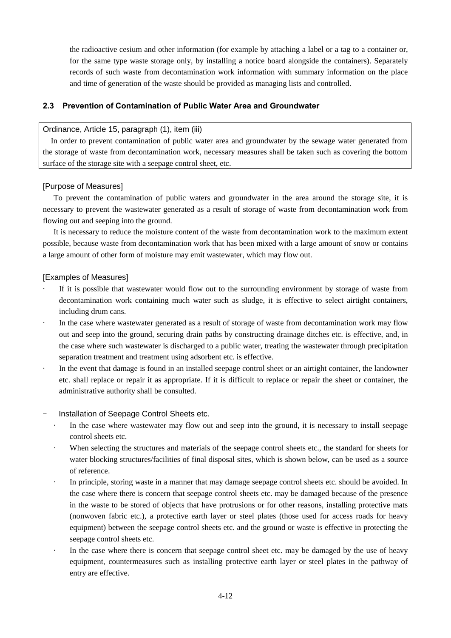the radioactive cesium and other information (for example by attaching a label or a tag to a container or, for the same type waste storage only, by installing a notice board alongside the containers). Separately records of such waste from decontamination work information with summary information on the place and time of generation of the waste should be provided as managing lists and controlled.

## **2.3 Prevention of Contamination of Public Water Area and Groundwater**

## Ordinance, Article 15, paragraph (1), item (iii)

In order to prevent contamination of public water area and groundwater by the sewage water generated from the storage of waste from decontamination work, necessary measures shall be taken such as covering the bottom surface of the storage site with a seepage control sheet, etc.

#### [Purpose of Measures]

To prevent the contamination of public waters and groundwater in the area around the storage site, it is necessary to prevent the wastewater generated as a result of storage of waste from decontamination work from flowing out and seeping into the ground.

It is necessary to reduce the moisture content of the waste from decontamination work to the maximum extent possible, because waste from decontamination work that has been mixed with a large amount of snow or contains a large amount of other form of moisture may emit wastewater, which may flow out.

#### [Examples of Measures]

- If it is possible that wastewater would flow out to the surrounding environment by storage of waste from decontamination work containing much water such as sludge, it is effective to select airtight containers, including drum cans.
- In the case where wastewater generated as a result of storage of waste from decontamination work may flow out and seep into the ground, securing drain paths by constructing drainage ditches etc. is effective, and, in the case where such wastewater is discharged to a public water, treating the wastewater through precipitation separation treatment and treatment using adsorbent etc. is effective.
- In the event that damage is found in an installed seepage control sheet or an airtight container, the landowner etc. shall replace or repair it as appropriate. If it is difficult to replace or repair the sheet or container, the administrative authority shall be consulted.
- Installation of Seepage Control Sheets etc.
	- In the case where wastewater may flow out and seep into the ground, it is necessary to install seepage control sheets etc.
	- When selecting the structures and materials of the seepage control sheets etc., the standard for sheets for water blocking structures/facilities of final disposal sites, which is shown below, can be used as a source of reference.
	- In principle, storing waste in a manner that may damage seepage control sheets etc. should be avoided. In the case where there is concern that seepage control sheets etc. may be damaged because of the presence in the waste to be stored of objects that have protrusions or for other reasons, installing protective mats (nonwoven fabric etc.), a protective earth layer or steel plates (those used for access roads for heavy equipment) between the seepage control sheets etc. and the ground or waste is effective in protecting the seepage control sheets etc.
	- In the case where there is concern that seepage control sheet etc. may be damaged by the use of heavy equipment, countermeasures such as installing protective earth layer or steel plates in the pathway of entry are effective.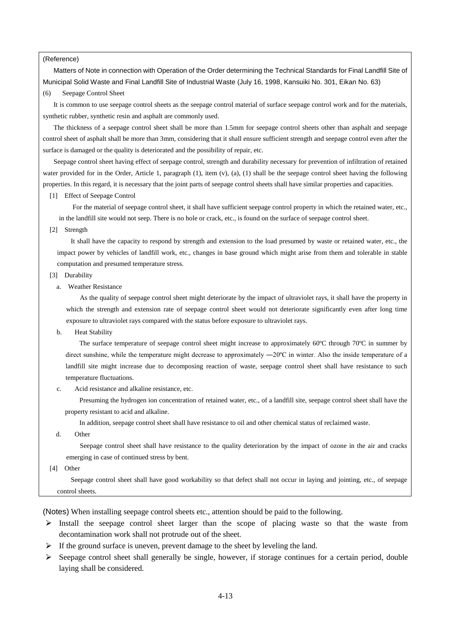#### (Reference)

Matters of Note in connection with Operation of the Order determining the Technical Standards for Final Landfill Site of Municipal Solid Waste and Final Landfill Site of Industrial Waste (July 16, 1998, Kansuiki No. 301, Eikan No. 63)

#### (6) Seepage Control Sheet

It is common to use seepage control sheets as the seepage control material of surface seepage control work and for the materials, synthetic rubber, synthetic resin and asphalt are commonly used.

The thickness of a seepage control sheet shall be more than 1.5mm for seepage control sheets other than asphalt and seepage control sheet of asphalt shall be more than 3mm, considering that it shall ensure sufficient strength and seepage control even after the surface is damaged or the quality is deteriorated and the possibility of repair, etc.

Seepage control sheet having effect of seepage control, strength and durability necessary for prevention of infiltration of retained water provided for in the Order, Article 1, paragraph  $(1)$ , item  $(v)$ ,  $(a)$ ,  $(1)$  shall be the seepage control sheet having the following properties. In this regard, it is necessary that the joint parts of seepage control sheets shall have similar properties and capacities.

[1] Effect of Seepage Control

For the material of seepage control sheet, it shall have sufficient seepage control property in which the retained water, etc., in the landfill site would not seep. There is no hole or crack, etc., is found on the surface of seepage control sheet.

[2] Strength

It shall have the capacity to respond by strength and extension to the load presumed by waste or retained water, etc., the impact power by vehicles of landfill work, etc., changes in base ground which might arise from them and tolerable in stable computation and presumed temperature stress.

- [3] Durability
	- a. Weather Resistance

As the quality of seepage control sheet might deteriorate by the impact of ultraviolet rays, it shall have the property in which the strength and extension rate of seepage control sheet would not deteriorate significantly even after long time exposure to ultraviolet rays compared with the status before exposure to ultraviolet rays.

b. Heat Stability

The surface temperature of seepage control sheet might increase to approximately 60°C through 70°C in summer by direct sunshine, while the temperature might decrease to approximately  $-20^{\circ}$ C in winter. Also the inside temperature of a landfill site might increase due to decomposing reaction of waste, seepage control sheet shall have resistance to such temperature fluctuations.

c. Acid resistance and alkaline resistance, etc.

Presuming the hydrogen ion concentration of retained water, etc., of a landfill site, seepage control sheet shall have the property resistant to acid and alkaline.

In addition, seepage control sheet shall have resistance to oil and other chemical status of reclaimed waste.

d. Other

Seepage control sheet shall have resistance to the quality deterioration by the impact of ozone in the air and cracks emerging in case of continued stress by bent.

[4] Other

Seepage control sheet shall have good workability so that defect shall not occur in laying and jointing, etc., of seepage control sheets.

(Notes) When installing seepage control sheets etc., attention should be paid to the following.

- $\triangleright$  Install the seepage control sheet larger than the scope of placing waste so that the waste from decontamination work shall not protrude out of the sheet.
- $\triangleright$  If the ground surface is uneven, prevent damage to the sheet by leveling the land.
- Seepage control sheet shall generally be single, however, if storage continues for a certain period, double laying shall be considered.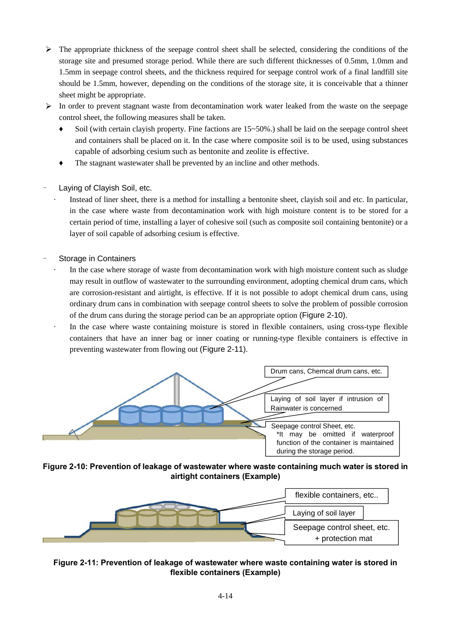- $\triangleright$  The appropriate thickness of the seepage control sheet shall be selected, considering the conditions of the storage site and presumed storage period. While there are such different thicknesses of 0.5mm, 1.0mm and 1.5mm in seepage control sheets, and the thickness required for seepage control work of a final landfill site should be 1.5mm, however, depending on the conditions of the storage site, it is conceivable that a thinner sheet might be appropriate.
- $\triangleright$  In order to prevent stagnant waste from decontamination work water leaked from the waste on the seepage control sheet, the following measures shall be taken.
	- Soil (with certain clayish property. Fine factions are  $15~50\%$ ) shall be laid on the seepage control sheet and containers shall be placed on it. In the case where composite soil is to be used, using substances capable of adsorbing cesium such as bentonite and zeolite is effective.
	- The stagnant wastewater shall be prevented by an incline and other methods.
- Laying of Clayish Soil, etc.
	- Instead of liner sheet, there is a method for installing a bentonite sheet, clayish soil and etc. In particular, in the case where waste from decontamination work with high moisture content is to be stored for a certain period of time, installing a layer of cohesive soil (such as composite soil containing bentonite) or a layer of soil capable of adsorbing cesium is effective.
- Storage in Containers
	- In the case where storage of waste from decontamination work with high moisture content such as sludge may result in outflow of wastewater to the surrounding environment, adopting chemical drum cans, which are corrosion-resistant and airtight, is effective. If it is not possible to adopt chemical drum cans, using ordinary drum cans in combination with seepage control sheets to solve the problem of possible corrosion of the drum cans during the storage period can be an appropriate option (Figure 2-10).
	- In the case where waste containing moisture is stored in flexible containers, using cross-type flexible containers that have an inner bag or inner coating or running-type flexible containers is effective in preventing wastewater from flowing out (Figure 2-11).



**Figure 2-10: Prevention of leakage of wastewater where waste containing much water is stored in airtight containers (Example)** 



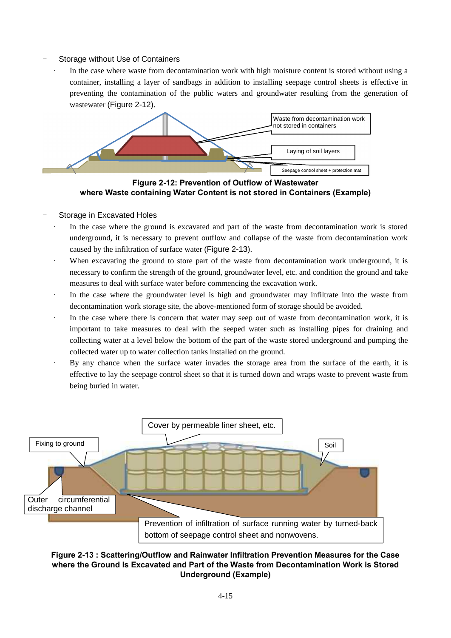## Storage without Use of Containers

In the case where waste from decontamination work with high moisture content is stored without using a container, installing a layer of sandbags in addition to installing seepage control sheets is effective in preventing the contamination of the public waters and groundwater resulting from the generation of wastewater (Figure 2-12).



**Figure 2-12: Prevention of Outflow of Wastewater where Waste containing Water Content is not stored in Containers (Example)** 

#### Storage in Excavated Holes

- In the case where the ground is excavated and part of the waste from decontamination work is stored underground, it is necessary to prevent outflow and collapse of the waste from decontamination work caused by the infiltration of surface water (Figure 2-13).
- When excavating the ground to store part of the waste from decontamination work underground, it is necessary to confirm the strength of the ground, groundwater level, etc. and condition the ground and take measures to deal with surface water before commencing the excavation work.
- · In the case where the groundwater level is high and groundwater may infiltrate into the waste from decontamination work storage site, the above-mentioned form of storage should be avoided.
- In the case where there is concern that water may seep out of waste from decontamination work, it is important to take measures to deal with the seeped water such as installing pipes for draining and collecting water at a level below the bottom of the part of the waste stored underground and pumping the collected water up to water collection tanks installed on the ground.
- By any chance when the surface water invades the storage area from the surface of the earth, it is effective to lay the seepage control sheet so that it is turned down and wraps waste to prevent waste from being buried in water.



## **Figure 2-13 : Scattering/Outflow and Rainwater Infiltration Prevention Measures for the Case where the Ground Is Excavated and Part of the Waste from Decontamination Work is Stored Underground (Example)**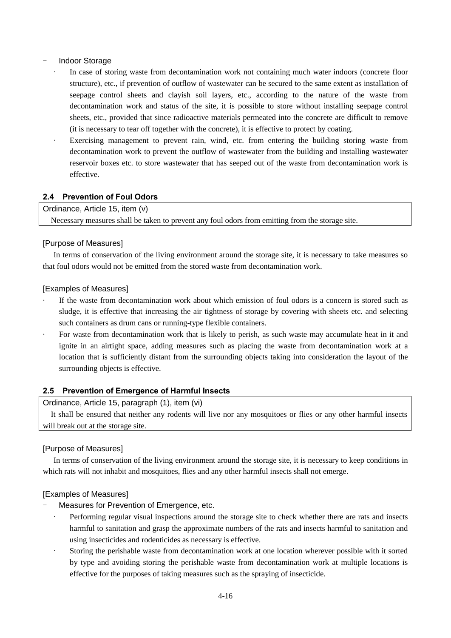## Indoor Storage

- In case of storing waste from decontamination work not containing much water indoors (concrete floor structure), etc., if prevention of outflow of wastewater can be secured to the same extent as installation of seepage control sheets and clayish soil layers, etc., according to the nature of the waste from decontamination work and status of the site, it is possible to store without installing seepage control sheets, etc., provided that since radioactive materials permeated into the concrete are difficult to remove (it is necessary to tear off together with the concrete), it is effective to protect by coating.
- Exercising management to prevent rain, wind, etc. from entering the building storing waste from decontamination work to prevent the outflow of wastewater from the building and installing wastewater reservoir boxes etc. to store wastewater that has seeped out of the waste from decontamination work is effective.

## **2.4 Prevention of Foul Odors**

Ordinance, Article 15, item (v) Necessary measures shall be taken to prevent any foul odors from emitting from the storage site.

#### [Purpose of Measures]

In terms of conservation of the living environment around the storage site, it is necessary to take measures so that foul odors would not be emitted from the stored waste from decontamination work.

#### [Examples of Measures]

- If the waste from decontamination work about which emission of foul odors is a concern is stored such as sludge, it is effective that increasing the air tightness of storage by covering with sheets etc. and selecting such containers as drum cans or running-type flexible containers.
- For waste from decontamination work that is likely to perish, as such waste may accumulate heat in it and ignite in an airtight space, adding measures such as placing the waste from decontamination work at a location that is sufficiently distant from the surrounding objects taking into consideration the layout of the surrounding objects is effective.

#### **2.5 Prevention of Emergence of Harmful Insects**

## Ordinance, Article 15, paragraph (1), item (vi)

It shall be ensured that neither any rodents will live nor any mosquitoes or flies or any other harmful insects will break out at the storage site.

#### [Purpose of Measures]

In terms of conservation of the living environment around the storage site, it is necessary to keep conditions in which rats will not inhabit and mosquitoes, flies and any other harmful insects shall not emerge.

#### [Examples of Measures]

#### Measures for Prevention of Emergence, etc.

- Performing regular visual inspections around the storage site to check whether there are rats and insects harmful to sanitation and grasp the approximate numbers of the rats and insects harmful to sanitation and using insecticides and rodenticides as necessary is effective.
- Storing the perishable waste from decontamination work at one location wherever possible with it sorted by type and avoiding storing the perishable waste from decontamination work at multiple locations is effective for the purposes of taking measures such as the spraying of insecticide.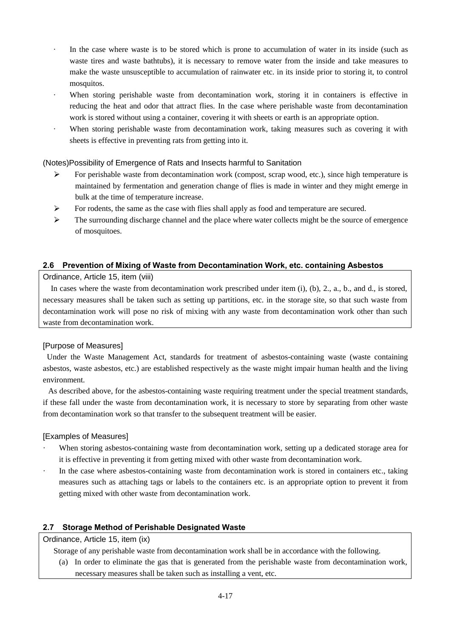- In the case where waste is to be stored which is prone to accumulation of water in its inside (such as waste tires and waste bathtubs), it is necessary to remove water from the inside and take measures to make the waste unsusceptible to accumulation of rainwater etc. in its inside prior to storing it, to control mosquitos.
- When storing perishable waste from decontamination work, storing it in containers is effective in reducing the heat and odor that attract flies. In the case where perishable waste from decontamination work is stored without using a container, covering it with sheets or earth is an appropriate option.
- When storing perishable waste from decontamination work, taking measures such as covering it with sheets is effective in preventing rats from getting into it.

## (Notes)Possibility of Emergence of Rats and Insects harmful to Sanitation

- For perishable waste from decontamination work (compost, scrap wood, etc.), since high temperature is  $\blacktriangleright$ maintained by fermentation and generation change of flies is made in winter and they might emerge in bulk at the time of temperature increase.
- $\blacktriangleright$ For rodents, the same as the case with flies shall apply as food and temperature are secured.
- $\blacktriangleright$ The surrounding discharge channel and the place where water collects might be the source of emergence of mosquitoes.

## **2.6 Prevention of Mixing of Waste from Decontamination Work, etc. containing Asbestos**

## Ordinance, Article 15, item (viii)

In cases where the waste from decontamination work prescribed under item (i), (b), 2., a., b., and d., is stored, necessary measures shall be taken such as setting up partitions, etc. in the storage site, so that such waste from decontamination work will pose no risk of mixing with any waste from decontamination work other than such waste from decontamination work.

## [Purpose of Measures]

Under the Waste Management Act, standards for treatment of asbestos-containing waste (waste containing asbestos, waste asbestos, etc.) are established respectively as the waste might impair human health and the living environment.

As described above, for the asbestos-containing waste requiring treatment under the special treatment standards, if these fall under the waste from decontamination work, it is necessary to store by separating from other waste from decontamination work so that transfer to the subsequent treatment will be easier.

## [Examples of Measures]

- When storing asbestos-containing waste from decontamination work, setting up a dedicated storage area for it is effective in preventing it from getting mixed with other waste from decontamination work.
- In the case where asbestos-containing waste from decontamination work is stored in containers etc., taking measures such as attaching tags or labels to the containers etc. is an appropriate option to prevent it from getting mixed with other waste from decontamination work.

## **2.7 Storage Method of Perishable Designated Waste**

## Ordinance, Article 15, item (ix)

Storage of any perishable waste from decontamination work shall be in accordance with the following.

(a) In order to eliminate the gas that is generated from the perishable waste from decontamination work, necessary measures shall be taken such as installing a vent, etc.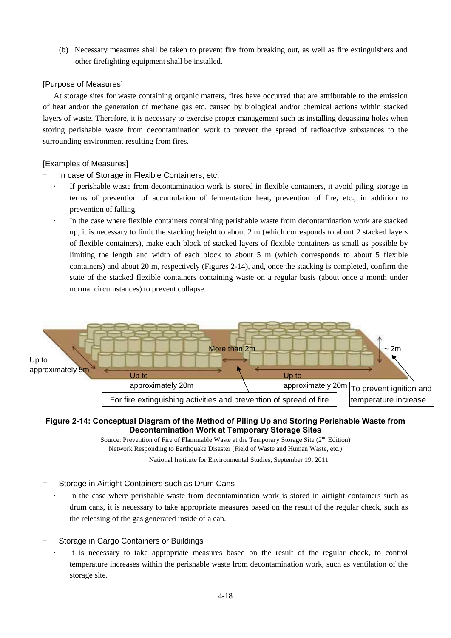(b) Necessary measures shall be taken to prevent fire from breaking out, as well as fire extinguishers and other firefighting equipment shall be installed.

## [Purpose of Measures]

At storage sites for waste containing organic matters, fires have occurred that are attributable to the emission of heat and/or the generation of methane gas etc. caused by biological and/or chemical actions within stacked layers of waste. Therefore, it is necessary to exercise proper management such as installing degassing holes when storing perishable waste from decontamination work to prevent the spread of radioactive substances to the surrounding environment resulting from fires.

## [Examples of Measures]

- In case of Storage in Flexible Containers, etc.
	- If perishable waste from decontamination work is stored in flexible containers, it avoid piling storage in terms of prevention of accumulation of fermentation heat, prevention of fire, etc., in addition to prevention of falling.
	- In the case where flexible containers containing perishable waste from decontamination work are stacked up, it is necessary to limit the stacking height to about  $2 \text{ m}$  (which corresponds to about  $2$  stacked layers of flexible containers), make each block of stacked layers of flexible containers as small as possible by limiting the length and width of each block to about 5 m (which corresponds to about 5 flexible containers) and about 20 m, respectively (Figures 2-14), and, once the stacking is completed, confirm the state of the stacked flexible containers containing waste on a regular basis (about once a month under normal circumstances) to prevent collapse.



## **Figure 2-14: Conceptual Diagram of the Method of Piling Up and Storing Perishable Waste from Decontamination Work at Temporary Storage Sites**

Source: Prevention of Fire of Flammable Waste at the Temporary Storage Site  $(2^{nd}$  Edition) Network Responding to Earthquake Disaster (Field of Waste and Human Waste, etc.) National Institute for Environmental Studies, September 19, 2011

- Storage in Airtight Containers such as Drum Cans
	- In the case where perishable waste from decontamination work is stored in airtight containers such as drum cans, it is necessary to take appropriate measures based on the result of the regular check, such as the releasing of the gas generated inside of a can.
- Storage in Cargo Containers or Buildings
	- It is necessary to take appropriate measures based on the result of the regular check, to control temperature increases within the perishable waste from decontamination work, such as ventilation of the storage site.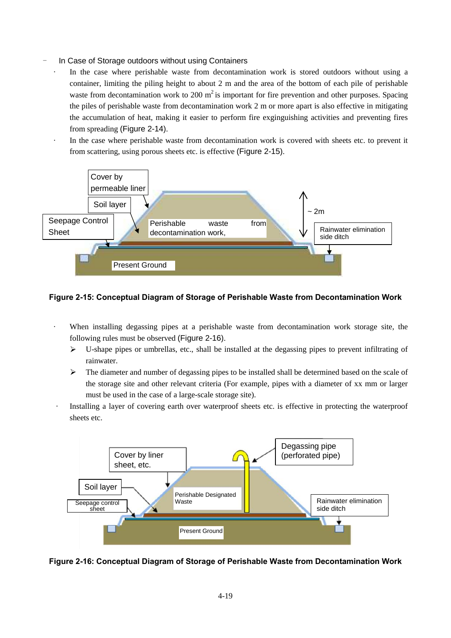- In Case of Storage outdoors without using Containers
	- In the case where perishable waste from decontamination work is stored outdoors without using a container, limiting the piling height to about 2 m and the area of the bottom of each pile of perishable waste from decontamination work to 200  $m^2$  is important for fire prevention and other purposes. Spacing the piles of perishable waste from decontamination work 2 m or more apart is also effective in mitigating the accumulation of heat, making it easier to perform fire exginguishing activities and preventing fires from spreading (Figure 2-14).
	- In the case where perishable waste from decontamination work is covered with sheets etc. to prevent it from scattering, using porous sheets etc. is effective (Figure 2-15).



#### **Figure 2-15: Conceptual Diagram of Storage of Perishable Waste from Decontamination Work**

- When installing degassing pipes at a perishable waste from decontamination work storage site, the following rules must be observed (Figure 2-16).
	- $\blacktriangleright$ U-shape pipes or umbrellas, etc., shall be installed at the degassing pipes to prevent infiltrating of rainwater.
	- $\blacktriangleright$ The diameter and number of degassing pipes to be installed shall be determined based on the scale of the storage site and other relevant criteria (For example, pipes with a diameter of xx mm or larger must be used in the case of a large-scale storage site).
- Installing a layer of covering earth over waterproof sheets etc. is effective in protecting the waterproof sheets etc.



**Figure 2-16: Conceptual Diagram of Storage of Perishable Waste from Decontamination Work**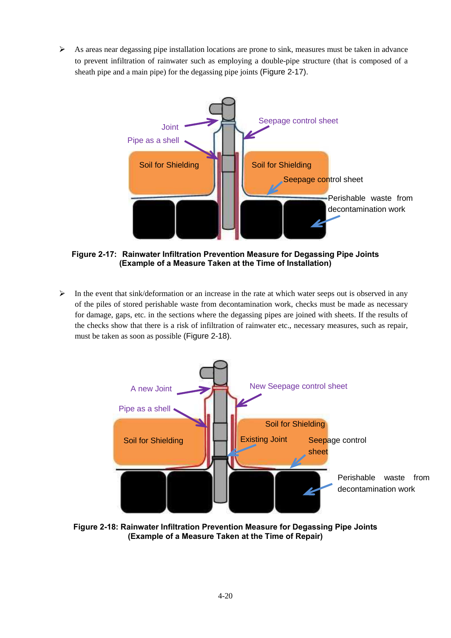As areas near degassing pipe installation locations are prone to sink, measures must be taken in advance  $\blacktriangleright$ to prevent infiltration of rainwater such as employing a double-pipe structure (that is composed of a sheath pipe and a main pipe) for the degassing pipe joints (Figure 2-17).



**Figure 2-17: Rainwater Infiltration Prevention Measure for Degassing Pipe Joints (Example of a Measure Taken at the Time of Installation)**

In the event that sink/deformation or an increase in the rate at which water seeps out is observed in any  $\blacktriangleright$ of the piles of stored perishable waste from decontamination work, checks must be made as necessary for damage, gaps, etc. in the sections where the degassing pipes are joined with sheets. If the results of the checks show that there is a risk of infiltration of rainwater etc., necessary measures, such as repair, must be taken as soon as possible (Figure 2-18).



**Figure 2-18: Rainwater Infiltration Prevention Measure for Degassing Pipe Joints (Example of a Measure Taken at the Time of Repair)**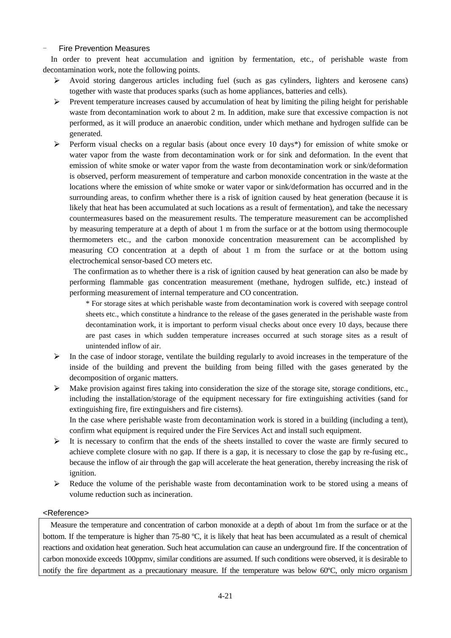## **Fire Prevention Measures**

In order to prevent heat accumulation and ignition by fermentation, etc., of perishable waste from decontamination work, note the following points.

- Avoid storing dangerous articles including fuel (such as gas cylinders, lighters and kerosene cans)  $\blacktriangleright$ together with waste that produces sparks (such as home appliances, batteries and cells).
- $\blacktriangleright$ Prevent temperature increases caused by accumulation of heat by limiting the piling height for perishable waste from decontamination work to about 2 m. In addition, make sure that excessive compaction is not performed, as it will produce an anaerobic condition, under which methane and hydrogen sulfide can be generated.
- $\blacktriangleright$ Perform visual checks on a regular basis (about once every 10 days\*) for emission of white smoke or water vapor from the waste from decontamination work or for sink and deformation. In the event that emission of white smoke or water vapor from the waste from decontamination work or sink/deformation is observed, perform measurement of temperature and carbon monoxide concentration in the waste at the locations where the emission of white smoke or water vapor or sink/deformation has occurred and in the surrounding areas, to confirm whether there is a risk of ignition caused by heat generation (because it is likely that heat has been accumulated at such locations as a result of fermentation), and take the necessary countermeasures based on the measurement results. The temperature measurement can be accomplished by measuring temperature at a depth of about 1 m from the surface or at the bottom using thermocouple thermometers etc., and the carbon monoxide concentration measurement can be accomplished by measuring CO concentration at a depth of about 1 m from the surface or at the bottom using electrochemical sensor-based CO meters etc.

 The confirmation as to whether there is a risk of ignition caused by heat generation can also be made by performing flammable gas concentration measurement (methane, hydrogen sulfide, etc.) instead of performing measurement of internal temperature and CO concentration.

\* For storage sites at which perishable waste from decontamination work is covered with seepage control sheets etc., which constitute a hindrance to the release of the gases generated in the perishable waste from decontamination work, it is important to perform visual checks about once every 10 days, because there are past cases in which sudden temperature increases occurred at such storage sites as a result of unintended inflow of air.

- $\triangleright$  In the case of indoor storage, ventilate the building regularly to avoid increases in the temperature of the inside of the building and prevent the building from being filled with the gases generated by the decomposition of organic matters.
- $\triangleright$  Make provision against fires taking into consideration the size of the storage site, storage conditions, etc., including the installation/storage of the equipment necessary for fire extinguishing activities (sand for extinguishing fire, fire extinguishers and fire cisterns).

In the case where perishable waste from decontamination work is stored in a building (including a tent), confirm what equipment is required under the Fire Services Act and install such equipment.

- $\blacktriangleright$ It is necessary to confirm that the ends of the sheets installed to cover the waste are firmly secured to achieve complete closure with no gap. If there is a gap, it is necessary to close the gap by re-fusing etc., because the inflow of air through the gap will accelerate the heat generation, thereby increasing the risk of ignition.
- $\blacktriangleright$ Reduce the volume of the perishable waste from decontamination work to be stored using a means of volume reduction such as incineration.

## <Reference>

Measure the temperature and concentration of carbon monoxide at a depth of about 1m from the surface or at the bottom. If the temperature is higher than 75-80 ºC, it is likely that heat has been accumulated as a result of chemical reactions and oxidation heat generation. Such heat accumulation can cause an underground fire. If the concentration of carbon monoxide exceeds 100ppmv, similar conditions are assumed. If such conditions were observed, it is desirable to notify the fire department as a precautionary measure. If the temperature was below 60ºC, only micro organism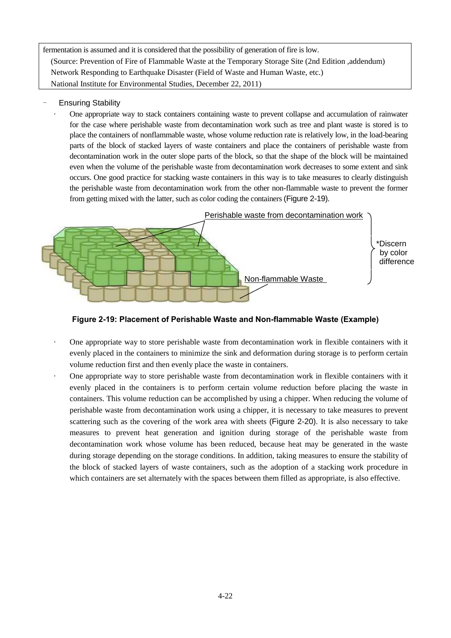fermentation is assumed and it is considered that the possibility of generation of fire is low. (Source: Prevention of Fire of Flammable Waste at the Temporary Storage Site (2nd Edition ,addendum) Network Responding to Earthquake Disaster (Field of Waste and Human Waste, etc.) National Institute for Environmental Studies, December 22, 2011)

- **Ensuring Stability** 
	- · One appropriate way to stack containers containing waste to prevent collapse and accumulation of rainwater for the case where perishable waste from decontamination work such as tree and plant waste is stored is to place the containers of nonflammable waste, whose volume reduction rate is relatively low, in the load-bearing parts of the block of stacked layers of waste containers and place the containers of perishable waste from decontamination work in the outer slope parts of the block, so that the shape of the block will be maintained even when the volume of the perishable waste from decontamination work decreases to some extent and sink occurs. One good practice for stacking waste containers in this way is to take measures to clearly distinguish the perishable waste from decontamination work from the other non-flammable waste to prevent the former from getting mixed with the latter, such as color coding the containers (Figure 2-19).



**Figure 2-19: Placement of Perishable Waste and Non-flammable Waste (Example)** 

- · One appropriate way to store perishable waste from decontamination work in flexible containers with it evenly placed in the containers to minimize the sink and deformation during storage is to perform certain volume reduction first and then evenly place the waste in containers.
- One appropriate way to store perishable waste from decontamination work in flexible containers with it evenly placed in the containers is to perform certain volume reduction before placing the waste in containers. This volume reduction can be accomplished by using a chipper. When reducing the volume of perishable waste from decontamination work using a chipper, it is necessary to take measures to prevent scattering such as the covering of the work area with sheets (Figure 2-20). It is also necessary to take measures to prevent heat generation and ignition during storage of the perishable waste from decontamination work whose volume has been reduced, because heat may be generated in the waste during storage depending on the storage conditions. In addition, taking measures to ensure the stability of the block of stacked layers of waste containers, such as the adoption of a stacking work procedure in which containers are set alternately with the spaces between them filled as appropriate, is also effective.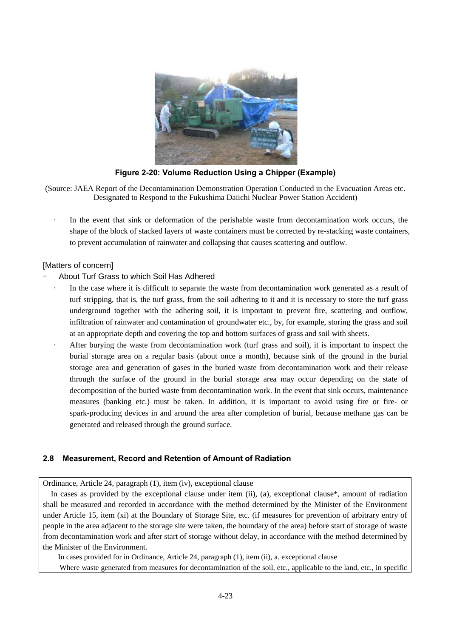

**Figure 2-20: Volume Reduction Using a Chipper (Example)** 

(Source: JAEA Report of the Decontamination Demonstration Operation Conducted in the Evacuation Areas etc. Designated to Respond to the Fukushima Daiichi Nuclear Power Station Accident)

In the event that sink or deformation of the perishable waste from decontamination work occurs, the shape of the block of stacked layers of waste containers must be corrected by re-stacking waste containers, to prevent accumulation of rainwater and collapsing that causes scattering and outflow.

## [Matters of concern]

## - About Turf Grass to which Soil Has Adhered

- In the case where it is difficult to separate the waste from decontamination work generated as a result of turf stripping, that is, the turf grass, from the soil adhering to it and it is necessary to store the turf grass underground together with the adhering soil, it is important to prevent fire, scattering and outflow, infiltration of rainwater and contamination of groundwater etc., by, for example, storing the grass and soil at an appropriate depth and covering the top and bottom surfaces of grass and soil with sheets.
- After burying the waste from decontamination work (turf grass and soil), it is important to inspect the burial storage area on a regular basis (about once a month), because sink of the ground in the burial storage area and generation of gases in the buried waste from decontamination work and their release through the surface of the ground in the burial storage area may occur depending on the state of decomposition of the buried waste from decontamination work. In the event that sink occurs, maintenance measures (banking etc.) must be taken. In addition, it is important to avoid using fire or fire- or spark-producing devices in and around the area after completion of burial, because methane gas can be generated and released through the ground surface.

## **2.8 Measurement, Record and Retention of Amount of Radiation**

Ordinance, Article 24, paragraph (1), item (iv), exceptional clause

In cases as provided by the exceptional clause under item (ii), (a), exceptional clause\*, amount of radiation shall be measured and recorded in accordance with the method determined by the Minister of the Environment under Article 15, item (xi) at the Boundary of Storage Site, etc. (if measures for prevention of arbitrary entry of people in the area adjacent to the storage site were taken, the boundary of the area) before start of storage of waste from decontamination work and after start of storage without delay, in accordance with the method determined by the Minister of the Environment.

In cases provided for in Ordinance, Article 24, paragraph (1), item (ii), a. exceptional clause

Where waste generated from measures for decontamination of the soil, etc., applicable to the land, etc., in specific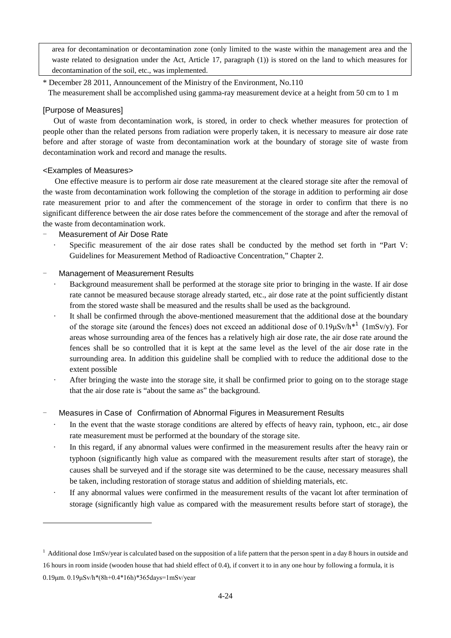area for decontamination or decontamination zone (only limited to the waste within the management area and the waste related to designation under the Act, Article 17, paragraph (1)) is stored on the land to which measures for decontamination of the soil, etc., was implemented.

\* December 28 2011, Announcement of the Ministry of the Environment, No.110 The measurement shall be accomplished using gamma-ray measurement device at a height from 50 cm to 1 m

## [Purpose of Measures]

Out of waste from decontamination work, is stored, in order to check whether measures for protection of people other than the related persons from radiation were properly taken, it is necessary to measure air dose rate before and after storage of waste from decontamination work at the boundary of storage site of waste from decontamination work and record and manage the results.

## <Examples of Measures>

 $\overline{\phantom{0}}$ 

One effective measure is to perform air dose rate measurement at the cleared storage site after the removal of the waste from decontamination work following the completion of the storage in addition to performing air dose rate measurement prior to and after the commencement of the storage in order to confirm that there is no significant difference between the air dose rates before the commencement of the storage and after the removal of the waste from decontamination work.

## Measurement of Air Dose Rate

Specific measurement of the air dose rates shall be conducted by the method set forth in "Part V: Guidelines for Measurement Method of Radioactive Concentration," Chapter 2.

## Management of Measurement Results

- Background measurement shall be performed at the storage site prior to bringing in the waste. If air dose rate cannot be measured because storage already started, etc., air dose rate at the point sufficiently distant from the stored waste shall be measured and the results shall be used as the background.
- It shall be confirmed through the above-mentioned measurement that the additional dose at the boundary of the storage site (around the fences) does not exceed an additional dose of  $0.19 \mu Sv/h*1$  (1mSv/y). For areas whose surrounding area of the fences has a relatively high air dose rate, the air dose rate around the fences shall be so controlled that it is kept at the same level as the level of the air dose rate in the surrounding area. In addition this guideline shall be complied with to reduce the additional dose to the extent possible
- After bringing the waste into the storage site, it shall be confirmed prior to going on to the storage stage that the air dose rate is "about the same as" the background.

## Measures in Case of Confirmation of Abnormal Figures in Measurement Results

- In the event that the waste storage conditions are altered by effects of heavy rain, typhoon, etc., air dose rate measurement must be performed at the boundary of the storage site.
- In this regard, if any abnormal values were confirmed in the measurement results after the heavy rain or typhoon (significantly high value as compared with the measurement results after start of storage), the causes shall be surveyed and if the storage site was determined to be the cause, necessary measures shall be taken, including restoration of storage status and addition of shielding materials, etc.
- If any abnormal values were confirmed in the measurement results of the vacant lot after termination of storage (significantly high value as compared with the measurement results before start of storage), the

 $<sup>1</sup>$  Additional dose 1mSv/year is calculated based on the supposition of a life pattern that the person spent in a day 8 hours in outside and</sup> 16 hours in room inside (wooden house that had shield effect of 0.4), if convert it to in any one hour by following a formula, it is 0.19μm. 0.19μSv/h\*(8h+0.4\*16h)\*365days=1mSv/year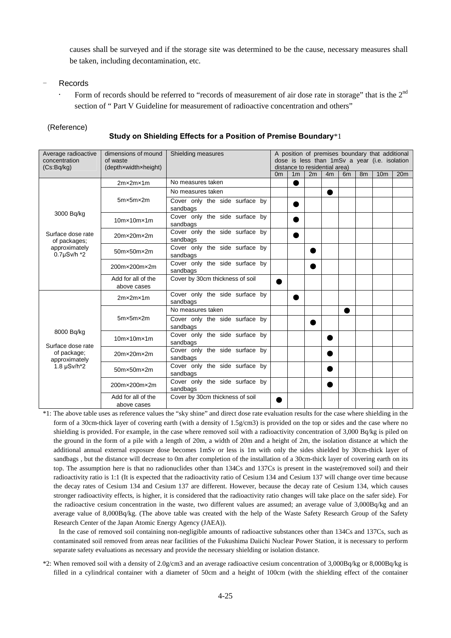causes shall be surveyed and if the storage site was determined to be the cause, necessary measures shall be taken, including decontamination, etc.

#### **Records**

Form of records should be referred to "records of measurement of air dose rate in storage" that is the 2<sup>nd</sup> section of " Part V Guideline for measurement of radioactive concentration and others"

#### (Reference)

#### **Study on Shielding Effects for a Position of Premise Boundary**\*1

| Average radioactive                  | dimensions of mound               | Shielding measures                         | A position of premises boundary that additional                                |                                                                                                                        |  |   |  |  |  |  |
|--------------------------------------|-----------------------------------|--------------------------------------------|--------------------------------------------------------------------------------|------------------------------------------------------------------------------------------------------------------------|--|---|--|--|--|--|
| concentration<br>(Cs:Bq/kg)          | of waste<br>(depthxwidthxheight)  |                                            | dose is less than 1mSv a year (i.e. isolation<br>distance to residential area) |                                                                                                                        |  |   |  |  |  |  |
|                                      |                                   |                                            |                                                                                | 2m<br>1 <sub>m</sub><br>8 <sub>m</sub><br>10 <sub>m</sub><br>20 <sub>m</sub><br>0 <sub>m</sub><br>4m<br>6 <sub>m</sub> |  |   |  |  |  |  |
|                                      | 2mx2mx1m                          | No measures taken                          |                                                                                | O                                                                                                                      |  |   |  |  |  |  |
|                                      | $5m \times 5m \times 2m$          | No measures taken                          |                                                                                |                                                                                                                        |  | O |  |  |  |  |
|                                      |                                   | Cover only the side surface by<br>sandbags |                                                                                | O                                                                                                                      |  |   |  |  |  |  |
| 3000 Bq/kg                           | $10$ m $\times$ 10m $\times$ 1m   | Cover only the side surface by<br>sandbags |                                                                                |                                                                                                                        |  |   |  |  |  |  |
| Surface dose rate<br>of packages;    | 20mx20mx2m                        | Cover only the side surface by<br>sandbags |                                                                                |                                                                                                                        |  |   |  |  |  |  |
| approximately<br>$0.7 \mu$ Sv/h $*2$ | 50mx50mx2m                        | Cover only the side surface by<br>sandbags |                                                                                |                                                                                                                        |  |   |  |  |  |  |
|                                      | 200m×200m×2m                      | Cover only the side surface by<br>sandbags |                                                                                |                                                                                                                        |  |   |  |  |  |  |
|                                      | Add for all of the<br>above cases |                                            |                                                                                |                                                                                                                        |  |   |  |  |  |  |
|                                      | 2mx2mx1m                          | Cover only the side surface by<br>sandbags |                                                                                |                                                                                                                        |  |   |  |  |  |  |
|                                      | $5m \times 5m \times 2m$          | No measures taken                          |                                                                                |                                                                                                                        |  |   |  |  |  |  |
|                                      |                                   | Cover only the side surface by<br>sandbags |                                                                                |                                                                                                                        |  |   |  |  |  |  |
| 8000 Bq/kg<br>Surface dose rate      | $10$ m $\times$ 10m $\times$ 1m   | Cover only the side surface by<br>sandbags |                                                                                |                                                                                                                        |  |   |  |  |  |  |
| of package;<br>approximately         | 20mx20mx2m                        | Cover only the side surface by<br>sandbags |                                                                                |                                                                                                                        |  |   |  |  |  |  |
| 1.8 $\mu$ Sv/h*2                     | 50mx50mx2m                        | Cover only the side surface by<br>sandbags |                                                                                |                                                                                                                        |  |   |  |  |  |  |
|                                      | 200m×200m×2m                      | Cover only the side surface by<br>sandbags |                                                                                |                                                                                                                        |  |   |  |  |  |  |
|                                      | Add for all of the<br>above cases | Cover by 30cm thickness of soil            |                                                                                |                                                                                                                        |  |   |  |  |  |  |

\*1: The above table uses as reference values the "sky shine" and direct dose rate evaluation results for the case where shielding in the form of a 30cm-thick layer of covering earth (with a density of 1.5g/cm3) is provided on the top or sides and the case where no shielding is provided. For example, in the case where removed soil with a radioactivity concentration of 3,000 Bq/kg is piled on the ground in the form of a pile with a length of 20m, a width of 20m and a height of 2m, the isolation distance at which the additional annual external exposure dose becomes 1mSv or less is 1m with only the sides shielded by 30cm-thick layer of sandbags , but the distance will decrease to 0m after completion of the installation of a 30cm-thick layer of covering earth on its top. The assumption here is that no radionuclides other than 134Cs and 137Cs is present in the waste(removed soil) and their radioactivity ratio is 1:1 (It is expected that the radioactivity ratio of Cesium 134 and Cesium 137 will change over time because the decay rates of Cesium 134 and Cesium 137 are different. However, because the decay rate of Cesium 134, which causes stronger radioactivity effects, is higher, it is considered that the radioactivity ratio changes will take place on the safer side). For the radioactive cesium concentration in the waste, two different values are assumed; an average value of 3,000Bq/kg and an average value of 8,000Bq/kg. (The above table was created with the help of the Waste Safety Research Group of the Safety Research Center of the Japan Atomic Energy Agency (JAEA)).

In the case of removed soil containing non-negligible amounts of radioactive substances other than 134Cs and 137Cs, such as contaminated soil removed from areas near facilities of the Fukushima Daiichi Nuclear Power Station, it is necessary to perform separate safety evaluations as necessary and provide the necessary shielding or isolation distance.

\*2: When removed soil with a density of 2.0g/cm3 and an average radioactive cesium concentration of 3,000Bq/kg or 8,000Bq/kg is filled in a cylindrical container with a diameter of 50cm and a height of 100cm (with the shielding effect of the container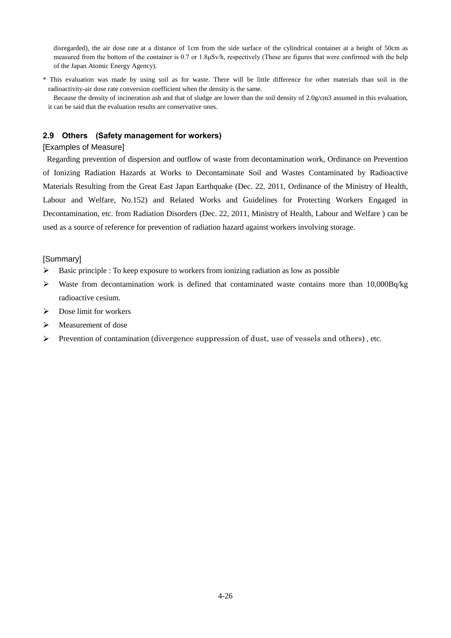disregarded), the air dose rate at a distance of 1cm from the side surface of the cylindrical container at a height of 50cm as measured from the bottom of the container is 0.7 or 1.8µSv/h, respectively (These are figures that were confirmed with the help of the Japan Atomic Energy Agency).

\* This evaluation was made by using soil as for waste. There will be little difference for other materials than soil in the radioactivity-air dose rate conversion coefficient when the density is the same.

Because the density of incineration ash and that of sludge are lower than the soil density of 2.0g/cm3 assumed in this evaluation, it can be said that the evaluation results are conservative ones.

## **2.9 Others (Safety management for workers)**

## [Examples of Measure]

 Regarding prevention of dispersion and outflow of waste from decontamination work, Ordinance on Prevention of Ionizing Radiation Hazards at Works to Decontaminate Soil and Wastes Contaminated by Radioactive Materials Resulting from the Great East Japan Earthquake (Dec. 22, 2011, Ordinance of the Ministry of Health, Labour and Welfare, No.152) and Related Works and Guidelines for Protecting Workers Engaged in Decontamination, etc. from Radiation Disorders (Dec. 22, 2011, Ministry of Health, Labour and Welfare ) can be used as a source of reference for prevention of radiation hazard against workers involving storage.

## [Summary]

- $\blacktriangleright$ Basic principle : To keep exposure to workers from ionizing radiation as low as possible
- $\blacktriangleright$ Waste from decontamination work is defined that contaminated waste contains more than 10,000Bq/kg radioactive cesium.
- $\triangleright$  Dose limit for workers
- $\blacktriangleright$ Measurement of dose
- $\triangleright$  Prevention of contamination (divergence suppression of dust, use of vessels and others), etc.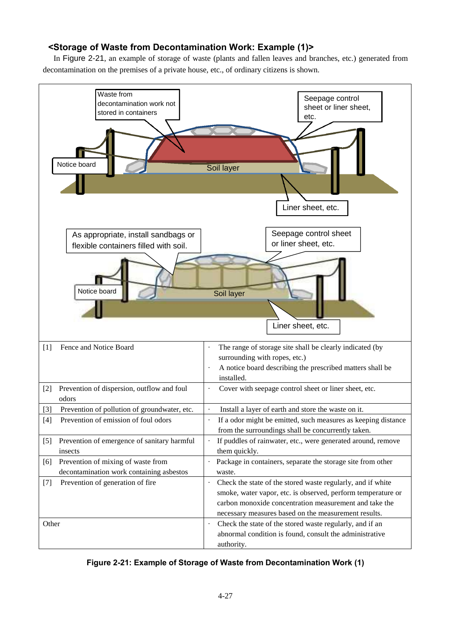# **<Storage of Waste from Decontamination Work: Example (1)>**

In Figure 2-21, an example of storage of waste (plants and fallen leaves and branches, etc.) generated from decontamination on the premises of a private house, etc., of ordinary citizens is shown.



**Figure 2-21: Example of Storage of Waste from Decontamination Work (1)**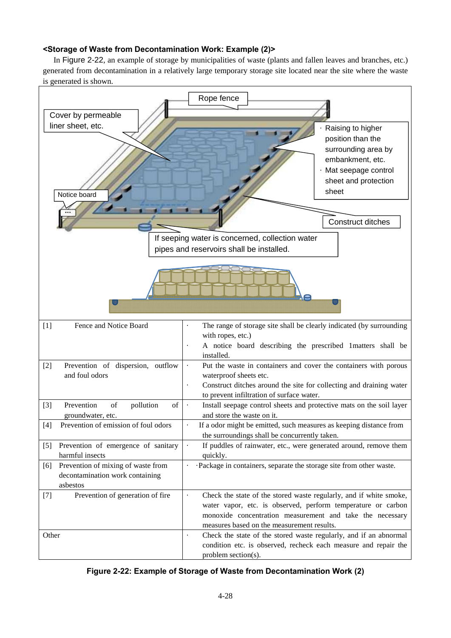## **<Storage of Waste from Decontamination Work: Example (2)>**

In Figure 2-22, an example of storage by municipalities of waste (plants and fallen leaves and branches, etc.) generated from decontamination in a relatively large temporary storage site located near the site where the waste is generated is shown.



**Figure 2-22: Example of Storage of Waste from Decontamination Work (2)**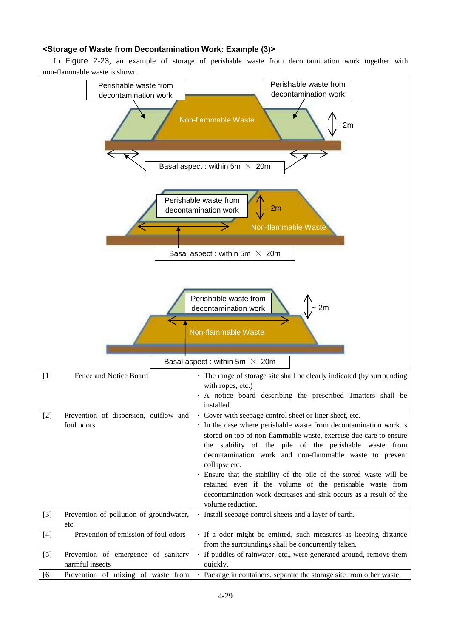## **<Storage of Waste from Decontamination Work: Example (3)>**

In Figure 2-23, an example of storage of perishable waste from decontamination work together with non-flammable waste is shown.

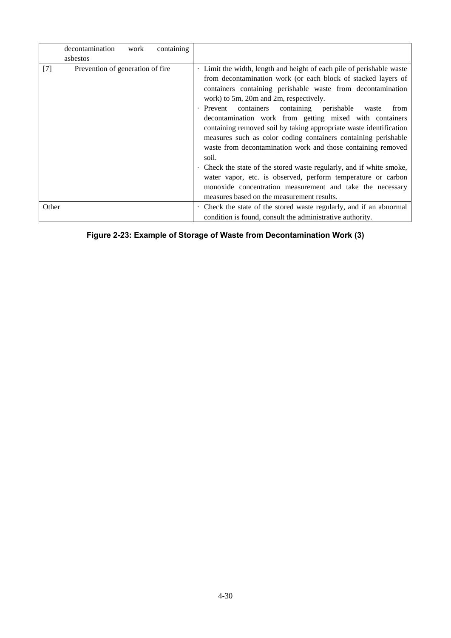|       | decontamination<br>asbestos      | work | containing |                                                                                                                                                                                                                                                                                                                                                                                                                                                                                                                                                                                                                                                                                                                                                                                                                                                     |
|-------|----------------------------------|------|------------|-----------------------------------------------------------------------------------------------------------------------------------------------------------------------------------------------------------------------------------------------------------------------------------------------------------------------------------------------------------------------------------------------------------------------------------------------------------------------------------------------------------------------------------------------------------------------------------------------------------------------------------------------------------------------------------------------------------------------------------------------------------------------------------------------------------------------------------------------------|
| $[7]$ | Prevention of generation of fire |      |            | . Limit the width, length and height of each pile of perishable waste<br>from decontamination work (or each block of stacked layers of<br>containers containing perishable waste from decontamination<br>work) to 5m, 20m and 2m, respectively.<br>containers<br>containing perishable<br>· Prevent<br>from<br>waste<br>decontamination work from getting mixed with containers<br>containing removed soil by taking appropriate waste identification<br>measures such as color coding containers containing perishable<br>waste from decontamination work and those containing removed<br>soil.<br>. Check the state of the stored waste regularly, and if white smoke,<br>water vapor, etc. is observed, perform temperature or carbon<br>monoxide concentration measurement and take the necessary<br>measures based on the measurement results. |
| Other |                                  |      |            | Check the state of the stored waste regularly, and if an abnormal<br>condition is found, consult the administrative authority.                                                                                                                                                                                                                                                                                                                                                                                                                                                                                                                                                                                                                                                                                                                      |

# **Figure 2-23: Example of Storage of Waste from Decontamination Work (3)**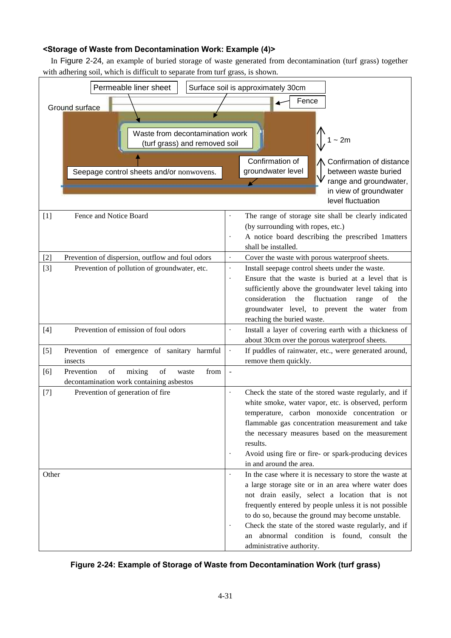# **<Storage of Waste from Decontamination Work: Example (4)>**

In Figure 2-24, an example of buried storage of waste generated from decontamination (turf grass) together with adhering soil, which is difficult to separate from turf grass, is shown.



## **Figure 2-24: Example of Storage of Waste from Decontamination Work (turf grass)**